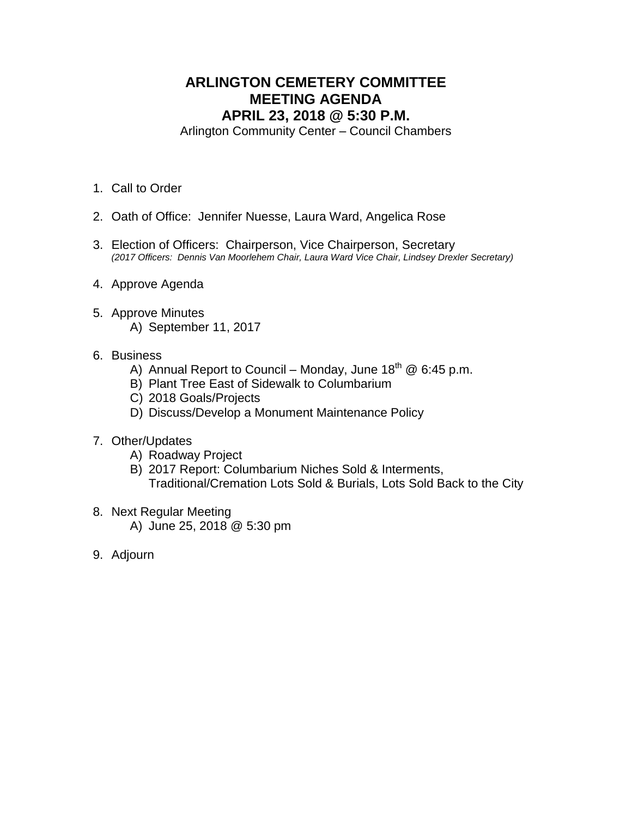# **ARLINGTON CEMETERY COMMITTEE MEETING AGENDA APRIL 23, 2018 @ 5:30 P.M.**

Arlington Community Center – Council Chambers

- 1. Call to Order
- 2. Oath of Office: Jennifer Nuesse, Laura Ward, Angelica Rose
- 3. Election of Officers: Chairperson, Vice Chairperson, Secretary *(2017 Officers: Dennis Van Moorlehem Chair, Laura Ward Vice Chair, Lindsey Drexler Secretary)*
- 4. Approve Agenda
- 5. Approve Minutes A) September 11, 2017
- 6. Business
	- A) Annual Report to Council Monday, June  $18^{th}$  @ 6:45 p.m.
	- B) Plant Tree East of Sidewalk to Columbarium
	- C) 2018 Goals/Projects
	- D) Discuss/Develop a Monument Maintenance Policy
- 7. Other/Updates
	- A) Roadway Project
	- B) 2017 Report: Columbarium Niches Sold & Interments, Traditional/Cremation Lots Sold & Burials, Lots Sold Back to the City
- 8. Next Regular Meeting
	- A) June 25, 2018 @ 5:30 pm
- 9. Adjourn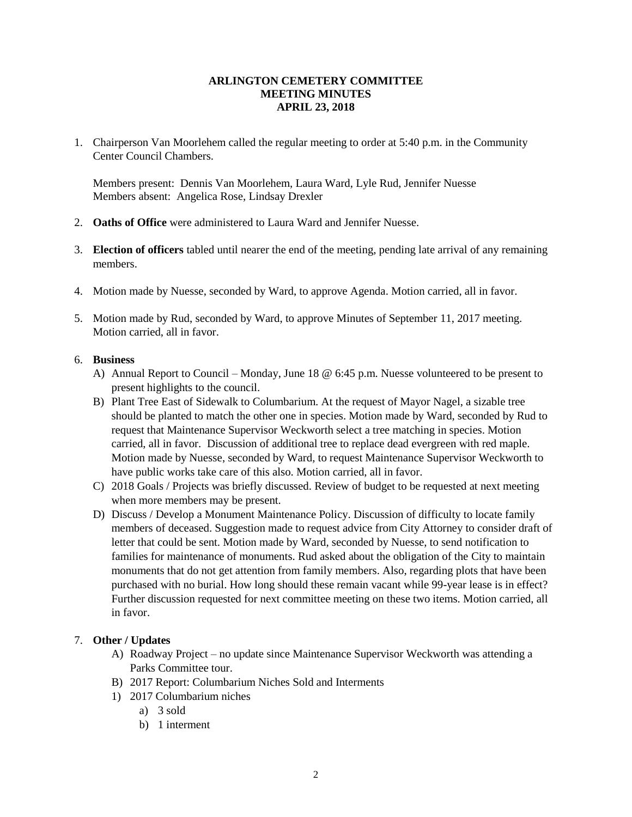#### **ARLINGTON CEMETERY COMMITTEE MEETING MINUTES APRIL 23, 2018**

1. Chairperson Van Moorlehem called the regular meeting to order at 5:40 p.m. in the Community Center Council Chambers.

Members present: Dennis Van Moorlehem, Laura Ward, Lyle Rud, Jennifer Nuesse Members absent: Angelica Rose, Lindsay Drexler

- 2. **Oaths of Office** were administered to Laura Ward and Jennifer Nuesse.
- 3. **Election of officers** tabled until nearer the end of the meeting, pending late arrival of any remaining members.
- 4. Motion made by Nuesse, seconded by Ward, to approve Agenda. Motion carried, all in favor.
- 5. Motion made by Rud, seconded by Ward, to approve Minutes of September 11, 2017 meeting. Motion carried, all in favor.

### 6. **Business**

- A) Annual Report to Council Monday, June 18 @ 6:45 p.m. Nuesse volunteered to be present to present highlights to the council.
- B) Plant Tree East of Sidewalk to Columbarium. At the request of Mayor Nagel, a sizable tree should be planted to match the other one in species. Motion made by Ward, seconded by Rud to request that Maintenance Supervisor Weckworth select a tree matching in species. Motion carried, all in favor. Discussion of additional tree to replace dead evergreen with red maple. Motion made by Nuesse, seconded by Ward, to request Maintenance Supervisor Weckworth to have public works take care of this also. Motion carried, all in favor.
- C) 2018 Goals / Projects was briefly discussed. Review of budget to be requested at next meeting when more members may be present.
- D) Discuss / Develop a Monument Maintenance Policy. Discussion of difficulty to locate family members of deceased. Suggestion made to request advice from City Attorney to consider draft of letter that could be sent. Motion made by Ward, seconded by Nuesse, to send notification to families for maintenance of monuments. Rud asked about the obligation of the City to maintain monuments that do not get attention from family members. Also, regarding plots that have been purchased with no burial. How long should these remain vacant while 99-year lease is in effect? Further discussion requested for next committee meeting on these two items. Motion carried, all in favor.

# 7. **Other / Updates**

- A) Roadway Project no update since Maintenance Supervisor Weckworth was attending a Parks Committee tour.
- B) 2017 Report: Columbarium Niches Sold and Interments
- 1) 2017 Columbarium niches
	- a) 3 sold
	- b) 1 interment